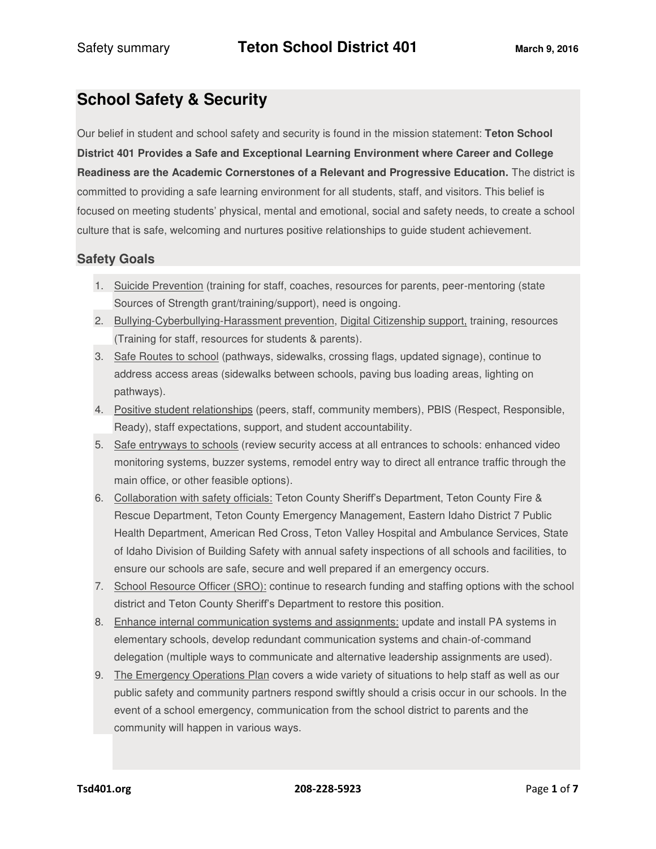# **School Safety & Security**

Our belief in student and school safety and security is found in the mission statement: **Teton School District 401 Provides a Safe and Exceptional Learning Environment where Career and College Readiness are the Academic Cornerstones of a Relevant and Progressive Education.** The district is committed to providing a safe learning environment for all students, staff, and visitors. This belief is focused on meeting students' physical, mental and emotional, social and safety needs, to create a school culture that is safe, welcoming and nurtures positive relationships to guide student achievement.

# **Safety Goals**

- 1. Suicide Prevention (training for staff, coaches, resources for parents, peer-mentoring (state Sources of Strength grant/training/support), need is ongoing.
- 2. Bullying-Cyberbullying-Harassment prevention, Digital Citizenship support, training, resources (Training for staff, resources for students & parents).
- 3. Safe Routes to school (pathways, sidewalks, crossing flags, updated signage), continue to address access areas (sidewalks between schools, paving bus loading areas, lighting on pathways).
- 4. Positive student relationships (peers, staff, community members), PBIS (Respect, Responsible, Ready), staff expectations, support, and student accountability.
- 5. Safe entryways to schools (review security access at all entrances to schools: enhanced video monitoring systems, buzzer systems, remodel entry way to direct all entrance traffic through the main office, or other feasible options).
- 6. Collaboration with safety officials: Teton County Sheriff's Department, Teton County Fire & Rescue Department, Teton County Emergency Management, Eastern Idaho District 7 Public Health Department, American Red Cross, Teton Valley Hospital and Ambulance Services, State of Idaho Division of Building Safety with annual safety inspections of all schools and facilities, to ensure our schools are safe, secure and well prepared if an emergency occurs.
- 7. School Resource Officer (SRO): continue to research funding and staffing options with the school district and Teton County Sheriff's Department to restore this position.
- 8. Enhance internal communication systems and assignments: update and install PA systems in elementary schools, develop redundant communication systems and chain-of-command delegation (multiple ways to communicate and alternative leadership assignments are used).
- 9. The Emergency Operations Plan covers a wide variety of situations to help staff as well as our public safety and community partners respond swiftly should a crisis occur in our schools. In the event of a school emergency, communication from the school district to parents and the community will happen in various ways.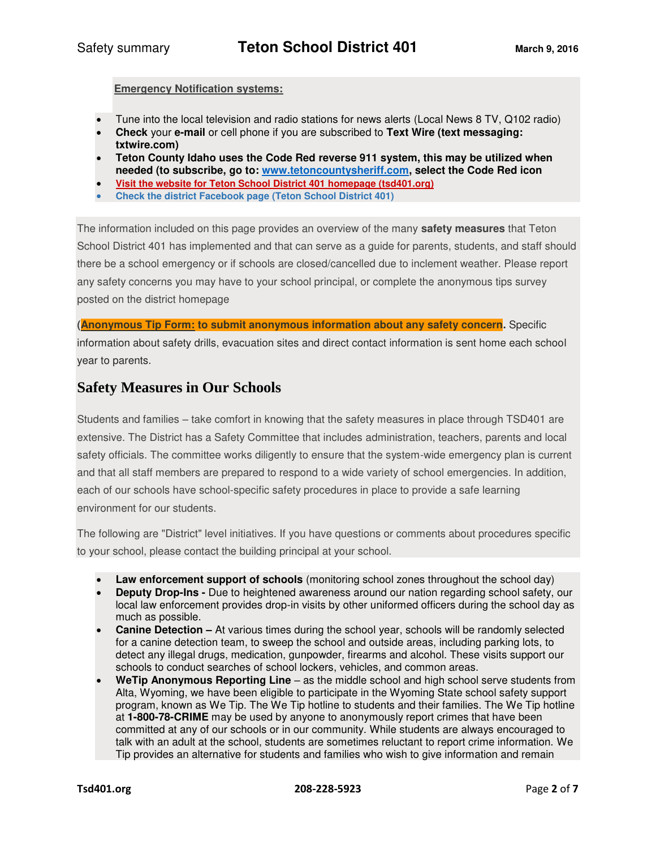**Emergency Notification systems:** 

- Tune into the local television and radio stations for news alerts (Local News 8 TV, Q102 radio)
- **Check** your **e-mail** or cell phone if you are subscribed to **Text Wire (text messaging: txtwire.com)**
- **Teton County Idaho uses the Code Red reverse 911 system, this may be utilized when needed (to subscribe, go to: [www.tetoncountysheriff.com,](http://www.tetoncountysheriff.com/) select the Code Red icon**
- **Visit the website for Teton School District 401 homepage (tsd401.org)**
- **Check the district Facebook page (Teton School District 401)**

The information included on this page provides an overview of the many **safety measures** that Teton School District 401 has implemented and that can serve as a guide for parents, students, and staff should there be a school emergency or if schools are closed/cancelled due to inclement weather. Please report any safety concerns you may have to your school principal, or complete the anonymous tips survey posted on the district homepage

**(Anonymous Tip Form: to submit anonymous information about any safety concern.** Specific information about safety drills, evacuation sites and direct contact information is sent home each school year to parents.

# **Safety Measures in Our Schools**

Students and families – take comfort in knowing that the safety measures in place through TSD401 are extensive. The District has a Safety Committee that includes administration, teachers, parents and local safety officials. The committee works diligently to ensure that the system-wide emergency plan is current and that all staff members are prepared to respond to a wide variety of school emergencies. In addition, each of our schools have school-specific safety procedures in place to provide a safe learning environment for our students.

The following are "District" level initiatives. If you have questions or comments about procedures specific to your school, please contact the building principal at your school.

- **Law enforcement support of schools** (monitoring school zones throughout the school day)
- **Deputy Drop-Ins -** Due to heightened awareness around our nation regarding school safety, our local law enforcement provides drop-in visits by other uniformed officers during the school day as much as possible.
- **Canine Detection –** At various times during the school year, schools will be randomly selected for a canine detection team, to sweep the school and outside areas, including parking lots, to detect any illegal drugs, medication, gunpowder, firearms and alcohol. These visits support our schools to conduct searches of school lockers, vehicles, and common areas.
- **WeTip Anonymous Reporting Line** as the middle school and high school serve students from Alta, Wyoming, we have been eligible to participate in the Wyoming State school safety support program, known as We Tip. The We Tip hotline to students and their families. The We Tip hotline at **1-800-78-CRIME** may be used by anyone to anonymously report crimes that have been committed at any of our schools or in our community. While students are always encouraged to talk with an adult at the school, students are sometimes reluctant to report crime information. We Tip provides an alternative for students and families who wish to give information and remain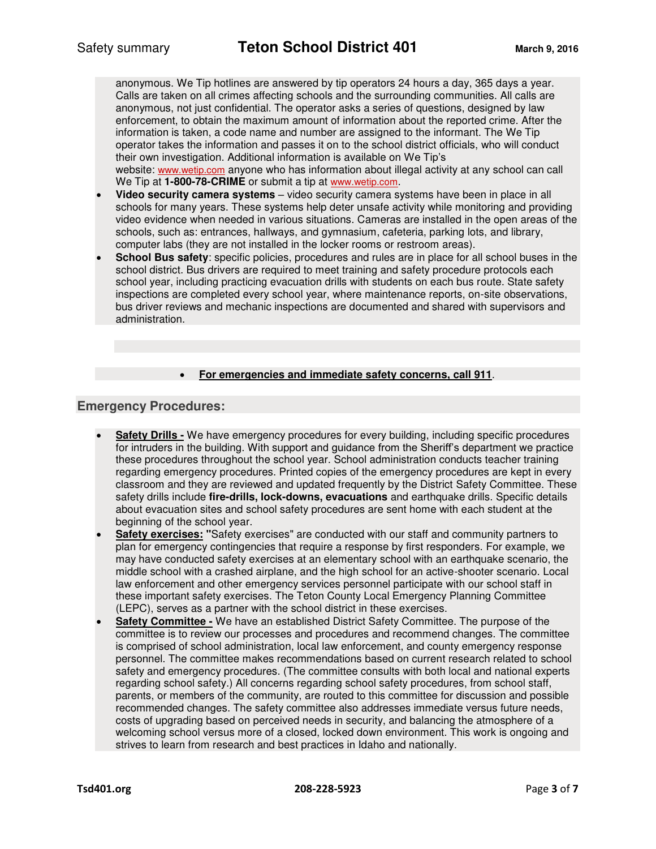anonymous. We Tip hotlines are answered by tip operators 24 hours a day, 365 days a year. Calls are taken on all crimes affecting schools and the surrounding communities. All calls are anonymous, not just confidential. The operator asks a series of questions, designed by law enforcement, to obtain the maximum amount of information about the reported crime. After the information is taken, a code name and number are assigned to the informant. The We Tip operator takes the information and passes it on to the school district officials, who will conduct their own investigation. Additional information is available on We Tip's

website: [www.wetip.com](http://www.wetip.com/) anyone who has information about illegal activity at any school can call We Tip at **1-800-78-CRIME** or submit a tip at [www.wetip.com](http://www.wetip.com/).

- **Video security camera systems**  video security camera systems have been in place in all schools for many years. These systems help deter unsafe activity while monitoring and providing video evidence when needed in various situations. Cameras are installed in the open areas of the schools, such as: entrances, hallways, and gymnasium, cafeteria, parking lots, and library, computer labs (they are not installed in the locker rooms or restroom areas).
- **School Bus safety**: specific policies, procedures and rules are in place for all school buses in the school district. Bus drivers are required to meet training and safety procedure protocols each school year, including practicing evacuation drills with students on each bus route. State safety inspections are completed every school year, where maintenance reports, on-site observations, bus driver reviews and mechanic inspections are documented and shared with supervisors and administration.

#### **For emergencies and immediate safety concerns, call 911**.

#### **Emergency Procedures:**

- **Safety Drills -** We have emergency procedures for every building, including specific procedures for intruders in the building. With support and guidance from the Sheriff's department we practice these procedures throughout the school year. School administration conducts teacher training regarding emergency procedures. Printed copies of the emergency procedures are kept in every classroom and they are reviewed and updated frequently by the District Safety Committee. These safety drills include **fire-drills, lock-downs, evacuations** and earthquake drills. Specific details about evacuation sites and school safety procedures are sent home with each student at the beginning of the school year.
- **Safety exercises: "**Safety exercises" are conducted with our staff and community partners to plan for emergency contingencies that require a response by first responders. For example, we may have conducted safety exercises at an elementary school with an earthquake scenario, the middle school with a crashed airplane, and the high school for an active-shooter scenario. Local law enforcement and other emergency services personnel participate with our school staff in these important safety exercises. The Teton County Local Emergency Planning Committee (LEPC), serves as a partner with the school district in these exercises.
- **Safety Committee -** We have an established District Safety Committee. The purpose of the committee is to review our processes and procedures and recommend changes. The committee is comprised of school administration, local law enforcement, and county emergency response personnel. The committee makes recommendations based on current research related to school safety and emergency procedures. (The committee consults with both local and national experts regarding school safety.) All concerns regarding school safety procedures, from school staff, parents, or members of the community, are routed to this committee for discussion and possible recommended changes. The safety committee also addresses immediate versus future needs, costs of upgrading based on perceived needs in security, and balancing the atmosphere of a welcoming school versus more of a closed, locked down environment. This work is ongoing and strives to learn from research and best practices in Idaho and nationally.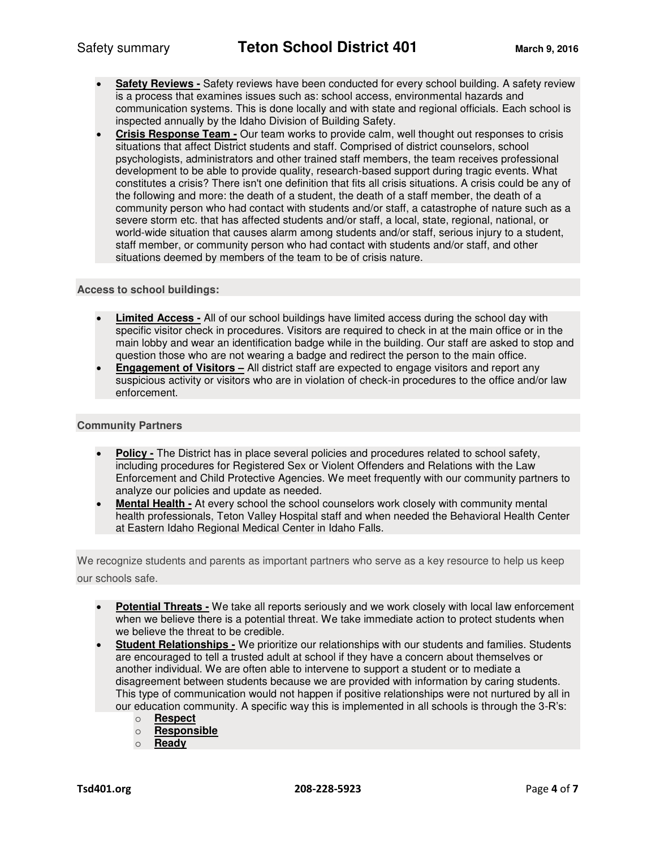- **Safety Reviews -** Safety reviews have been conducted for every school building. A safety review is a process that examines issues such as: school access, environmental hazards and communication systems. This is done locally and with state and regional officials. Each school is inspected annually by the Idaho Division of Building Safety.
- **Crisis Response Team -** Our team works to provide calm, well thought out responses to crisis situations that affect District students and staff. Comprised of district counselors, school psychologists, administrators and other trained staff members, the team receives professional development to be able to provide quality, research-based support during tragic events. What constitutes a crisis? There isn't one definition that fits all crisis situations. A crisis could be any of the following and more: the death of a student, the death of a staff member, the death of a community person who had contact with students and/or staff, a catastrophe of nature such as a severe storm etc. that has affected students and/or staff, a local, state, regional, national, or world-wide situation that causes alarm among students and/or staff, serious injury to a student, staff member, or community person who had contact with students and/or staff, and other situations deemed by members of the team to be of crisis nature.

#### **Access to school buildings:**

- **Limited Access -** All of our school buildings have limited access during the school day with specific visitor check in procedures. Visitors are required to check in at the main office or in the main lobby and wear an identification badge while in the building. Our staff are asked to stop and question those who are not wearing a badge and redirect the person to the main office.
- **Engagement of Visitors All district staff are expected to engage visitors and report any** suspicious activity or visitors who are in violation of check-in procedures to the office and/or law enforcement.

#### **Community Partners**

- **Policy -** The District has in place several policies and procedures related to school safety, including procedures for Registered Sex or Violent Offenders and Relations with the Law Enforcement and Child Protective Agencies. We meet frequently with our community partners to analyze our policies and update as needed.
- **Mental Health -** At every school the school counselors work closely with community mental health professionals, Teton Valley Hospital staff and when needed the Behavioral Health Center at Eastern Idaho Regional Medical Center in Idaho Falls.

We recognize students and parents as important partners who serve as a key resource to help us keep our schools safe.

- **Potential Threats -** We take all reports seriously and we work closely with local law enforcement when we believe there is a potential threat. We take immediate action to protect students when we believe the threat to be credible.
- **Student Relationships -** We prioritize our relationships with our students and families. Students are encouraged to tell a trusted adult at school if they have a concern about themselves or another individual. We are often able to intervene to support a student or to mediate a disagreement between students because we are provided with information by caring students. This type of communication would not happen if positive relationships were not nurtured by all in our education community. A specific way this is implemented in all schools is through the 3-R's:
	- o **Respect**
	- o **Responsible**
	- o **Ready**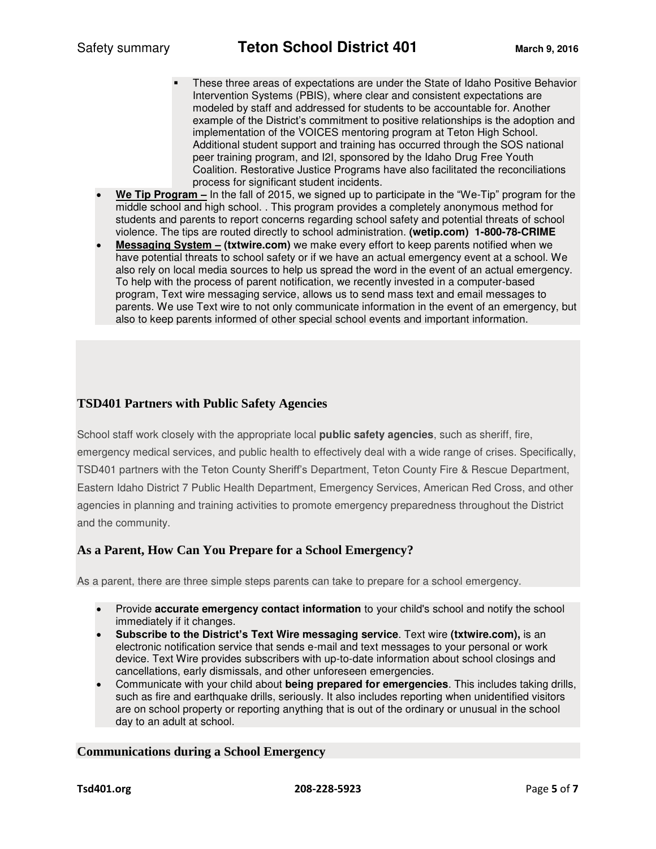- These three areas of expectations are under the State of Idaho Positive Behavior Intervention Systems (PBIS), where clear and consistent expectations are modeled by staff and addressed for students to be accountable for. Another example of the District's commitment to positive relationships is the adoption and implementation of the VOICES mentoring program at Teton High School. Additional student support and training has occurred through the SOS national peer training program, and I2I, sponsored by the Idaho Drug Free Youth Coalition. Restorative Justice Programs have also facilitated the reconciliations process for significant student incidents.
- **We Tip Program –** In the fall of 2015, we signed up to participate in the "We-Tip" program for the middle school and high school. . This program provides a completely anonymous method for students and parents to report concerns regarding school safety and potential threats of school violence. The tips are routed directly to school administration. **(wetip.com) 1-800-78-CRIME**
- **Messaging System – (txtwire.com)** we make every effort to keep parents notified when we have potential threats to school safety or if we have an actual emergency event at a school. We also rely on local media sources to help us spread the word in the event of an actual emergency. To help with the process of parent notification, we recently invested in a computer-based program, Text wire messaging service, allows us to send mass text and email messages to parents. We use Text wire to not only communicate information in the event of an emergency, but also to keep parents informed of other special school events and important information.

### **TSD401 Partners with Public Safety Agencies**

School staff work closely with the appropriate local **public safety agencies**, such as sheriff, fire, emergency medical services, and public health to effectively deal with a wide range of crises. Specifically, TSD401 partners with the Teton County Sheriff's Department, Teton County Fire & Rescue Department, Eastern Idaho District 7 Public Health Department, Emergency Services, American Red Cross, and other agencies in planning and training activities to promote emergency preparedness throughout the District and the community.

### **As a Parent, How Can You Prepare for a School Emergency?**

As a parent, there are three simple steps parents can take to prepare for a school emergency.

- Provide **accurate emergency contact information** to your child's school and notify the school immediately if it changes.
- **Subscribe to the District's Text Wire messaging service**. Text wire **(txtwire.com),** is an electronic notification service that sends e-mail and text messages to your personal or work device. Text Wire provides subscribers with up-to-date information about school closings and cancellations, early dismissals, and other unforeseen emergencies.
- Communicate with your child about **being prepared for emergencies**. This includes taking drills, such as fire and earthquake drills, seriously. It also includes reporting when unidentified visitors are on school property or reporting anything that is out of the ordinary or unusual in the school day to an adult at school.

### **Communications during a School Emergency**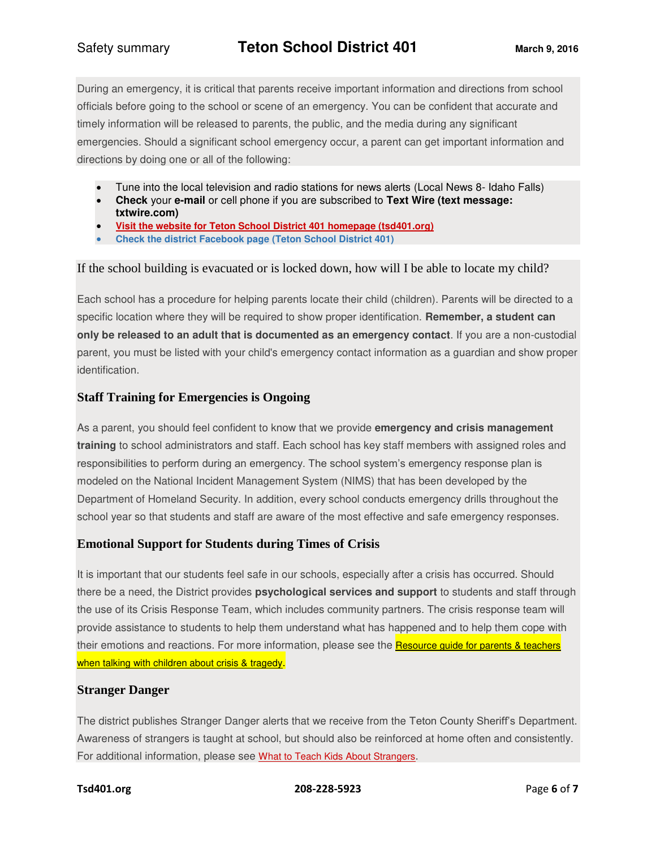During an emergency, it is critical that parents receive important information and directions from school officials before going to the school or scene of an emergency. You can be confident that accurate and timely information will be released to parents, the public, and the media during any significant emergencies. Should a significant school emergency occur, a parent can get important information and directions by doing one or all of the following:

- Tune into the local television and radio stations for news alerts (Local News 8- Idaho Falls)
- **Check** your **e-mail** or cell phone if you are subscribed to **Text Wire (text message: txtwire.com)**
- **Visit the website for Teton School District 401 homepage (tsd401.org)**
- **Check the district Facebook page (Teton School District 401)**

If the school building is evacuated or is locked down, how will I be able to locate my child?

Each school has a procedure for helping parents locate their child (children). Parents will be directed to a specific location where they will be required to show proper identification. **Remember, a student can only be released to an adult that is documented as an emergency contact**. If you are a non-custodial parent, you must be listed with your child's emergency contact information as a guardian and show proper identification.

# **Staff Training for Emergencies is Ongoing**

As a parent, you should feel confident to know that we provide **emergency and crisis management training** to school administrators and staff. Each school has key staff members with assigned roles and responsibilities to perform during an emergency. The school system's emergency response plan is modeled on the National Incident Management System (NIMS) that has been developed by the Department of Homeland Security. In addition, every school conducts emergency drills throughout the school year so that students and staff are aware of the most effective and safe emergency responses.

# **Emotional Support for Students during Times of Crisis**

It is important that our students feel safe in our schools, especially after a crisis has occurred. Should there be a need, the District provides **psychological services and support** to students and staff through the use of its Crisis Response Team, which includes community partners. The crisis response team will provide assistance to students to help them understand what has happened and to help them cope with their emotions and reactions. For more information, please see the Resource guide for parents & teachers [when talking with children about crisis & tragedy](http://www.bsd7.org/UserFiles/Servers/Server_112418/File/Bozeman%20Public%20Schools/Tips%20for%20Parents%20and%20Teachers.pdf).

### **Stranger Danger**

The district publishes Stranger Danger alerts that we receive from the Teton County Sheriff's Department. Awareness of strangers is taught at school, but should also be reinforced at home often and consistently. For additional information, please see [What to Teach Kids About Strangers](http://www.ncpc.org/topics/violent-crime-and-personal-safety/strangers).